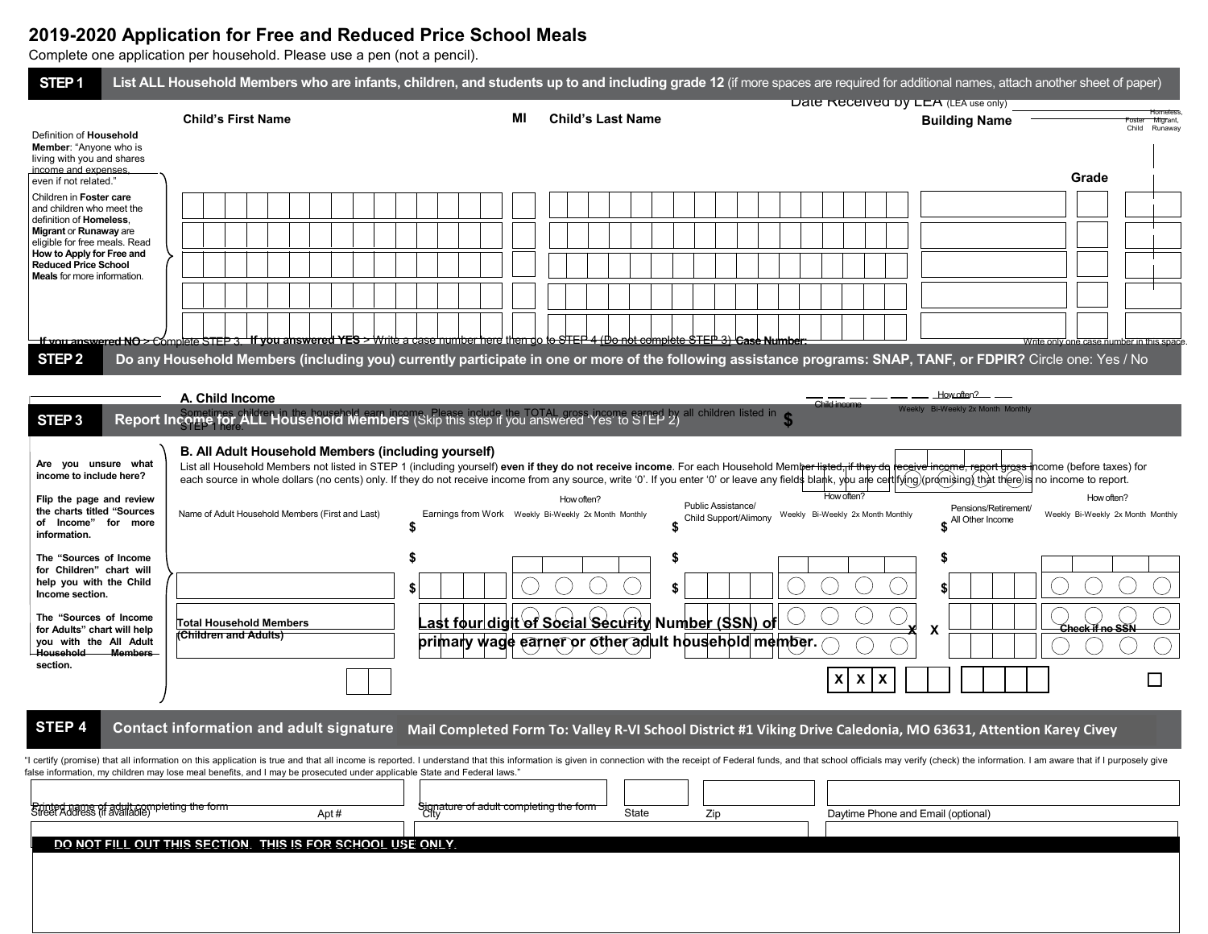## **2019-2020 Application for Free and Reduced Price School Meals**

Complete one application per household. Please use a pen (not a pencil).

| STEP <sub>1</sub>                                                                                                                                                                                                                            |                                                                                                                                              |                                                      |                                                                                                            | List ALL Household Members who are infants, children, and students up to and including grade 12 (if more spaces are required for additional names, attach another sheet of paper)<br>Date Received by LEA (LEA use only)                                                                                                                                                                                                              |                                                 |
|----------------------------------------------------------------------------------------------------------------------------------------------------------------------------------------------------------------------------------------------|----------------------------------------------------------------------------------------------------------------------------------------------|------------------------------------------------------|------------------------------------------------------------------------------------------------------------|---------------------------------------------------------------------------------------------------------------------------------------------------------------------------------------------------------------------------------------------------------------------------------------------------------------------------------------------------------------------------------------------------------------------------------------|-------------------------------------------------|
|                                                                                                                                                                                                                                              | <b>Child's First Name</b>                                                                                                                    | ΜI                                                   | <b>Child's Last Name</b>                                                                                   | <b>Building Name</b>                                                                                                                                                                                                                                                                                                                                                                                                                  | Migrant                                         |
| Definition of Household<br><b>Member:</b> "Anyone who is<br>living with you and shares<br>income and expenses<br>even if not related."                                                                                                       |                                                                                                                                              |                                                      |                                                                                                            |                                                                                                                                                                                                                                                                                                                                                                                                                                       | Child Runaway<br>Grade                          |
| Children in Foster care<br>and children who meet the<br>definition of Homeless,<br>Migrant or Runaway are<br>eligible for free meals. Read<br>How to Apply for Free and<br><b>Reduced Price School</b><br><b>Meals</b> for more information. |                                                                                                                                              |                                                      |                                                                                                            |                                                                                                                                                                                                                                                                                                                                                                                                                                       |                                                 |
|                                                                                                                                                                                                                                              | If you answered NO > Cómplete STEP 3 The you answered YES > Write a case number here then do to STEP 4 (Do not complete STEP 3) Case Number: |                                                      |                                                                                                            |                                                                                                                                                                                                                                                                                                                                                                                                                                       | Write only one case number in this space        |
| STEP <sub>2</sub>                                                                                                                                                                                                                            |                                                                                                                                              |                                                      |                                                                                                            | Do any Household Members (including you) currently participate in one or more of the following assistance programs: SNAP, TANF, or FDPIR? Circle one: Yes / No                                                                                                                                                                                                                                                                        |                                                 |
|                                                                                                                                                                                                                                              | A. Child Income                                                                                                                              |                                                      |                                                                                                            | How often 2_<br>Child income                                                                                                                                                                                                                                                                                                                                                                                                          |                                                 |
| STEP <sub>3</sub>                                                                                                                                                                                                                            | Report Income for ALL Household Members (Skip this step if you answered Yes' to STEP 2) all children listed in                               |                                                      |                                                                                                            | <b>Neekly</b> Bi-Weekly 2x Month Monthly                                                                                                                                                                                                                                                                                                                                                                                              |                                                 |
| Are you unsure what<br>income to include here?                                                                                                                                                                                               | B. All Adult Household Members (including yourself)                                                                                          |                                                      |                                                                                                            | List all Household Members not listed in STEP 1 (including yourself) even if they do not receive income. For each Household Member listed, if they do receive income, report gross income (before taxes) for<br>each source in whole dollars (no cents) only. If they do not receive income from any source, write '0'. If you enter '0' or leave any fields blank, you are certifying)(promising) that there)is no income to report. |                                                 |
| Flip the page and review<br>the charts titled "Sources<br>of Income" for more<br>information.                                                                                                                                                | Name of Adult Household Members (First and Last)                                                                                             | Earnings from Work Weekly Bi-Weekly 2x Month Monthly | How often?<br>Public Assistance/<br>Child Support/Alimony                                                  | How often?<br>Pensions/Retirement/<br>Weekly Bi-Weekly 2x Month Monthly<br>All Other Income                                                                                                                                                                                                                                                                                                                                           | How often?<br>Weekly Bi-Weekly 2x Month Monthly |
| The "Sources of Income<br>for Children" chart will<br>help you with the Child<br>Income section.                                                                                                                                             | \$                                                                                                                                           |                                                      |                                                                                                            |                                                                                                                                                                                                                                                                                                                                                                                                                                       |                                                 |
| The "Sources of Income<br>for Adults" chart will help<br>you with the All Adult<br>Household Members<br>section.                                                                                                                             | Total Household Members<br>(Children and Adults)                                                                                             |                                                      | Last four digit of Social Security Number (SSN) of<br>primary wage earner or other adult household member. | X                                                                                                                                                                                                                                                                                                                                                                                                                                     | Check if no SSN                                 |
|                                                                                                                                                                                                                                              |                                                                                                                                              |                                                      |                                                                                                            | x<br>$\pmb{\mathsf{X}}$<br>$\boldsymbol{\mathsf{x}}$                                                                                                                                                                                                                                                                                                                                                                                  |                                                 |
| STEP <sub>4</sub>                                                                                                                                                                                                                            |                                                                                                                                              |                                                      |                                                                                                            | Contact information and adult signature Mail Completed Form To: Valley R-VI School District #1 Viking Drive Caledonia, MO 63631, Attention Karey Civey                                                                                                                                                                                                                                                                                |                                                 |
|                                                                                                                                                                                                                                              | false information, my children may lose meal benefits, and I may be prosecuted under applicable State and Federal laws."                     |                                                      |                                                                                                            | 'l certify (promise) that all information on this application is true and that all income is reported. I understand that this information is given in connection with the receipt of Federal funds, and that school officials                                                                                                                                                                                                         |                                                 |
|                                                                                                                                                                                                                                              |                                                                                                                                              |                                                      |                                                                                                            |                                                                                                                                                                                                                                                                                                                                                                                                                                       |                                                 |
| <b>Stinted Julies of adult completing the form</b>                                                                                                                                                                                           | Apt#                                                                                                                                         | Signature of adult completing the form               | State<br>Zip                                                                                               | Daytime Phone and Email (optional)                                                                                                                                                                                                                                                                                                                                                                                                    |                                                 |
|                                                                                                                                                                                                                                              | DO NOT FILL OUT THIS SECTION. THIS IS FOR SCHOOL USE ONLY.                                                                                   |                                                      |                                                                                                            |                                                                                                                                                                                                                                                                                                                                                                                                                                       |                                                 |
|                                                                                                                                                                                                                                              |                                                                                                                                              |                                                      |                                                                                                            |                                                                                                                                                                                                                                                                                                                                                                                                                                       |                                                 |
|                                                                                                                                                                                                                                              |                                                                                                                                              |                                                      |                                                                                                            |                                                                                                                                                                                                                                                                                                                                                                                                                                       |                                                 |
|                                                                                                                                                                                                                                              |                                                                                                                                              |                                                      |                                                                                                            |                                                                                                                                                                                                                                                                                                                                                                                                                                       |                                                 |